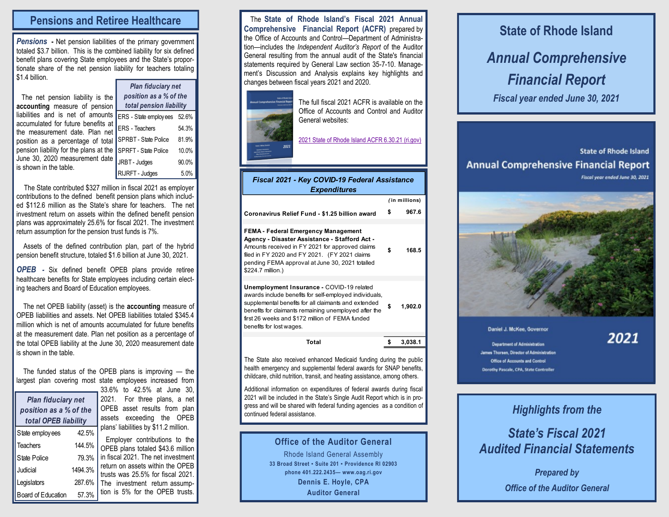### **Pensions and Retiree Healthcare**

*Pensions* **-** Net pension liabilities of the primary government totaled \$3.7 billion. This is the combined liability for six defined benefit plans covering State employees and the State's proportionate share of the net pension liability for teachers totaling \$1.4 billion.

| The net pension liability is the                                                                                                                          |  |
|-----------------------------------------------------------------------------------------------------------------------------------------------------------|--|
| accounting measure of pension                                                                                                                             |  |
| liabilities and is net of amounts $F$                                                                                                                     |  |
| accumulated for future benefits at<br>$\frac{1}{2}$ accumulated for future benefits at $\left E\right $ = the measurement date. Plan net $\left E\right $ |  |
|                                                                                                                                                           |  |
| position as a percentage of total S                                                                                                                       |  |
| pension liability for the plans at the $ s $                                                                                                              |  |
| June 30, 2020 measurement date                                                                                                                            |  |
| is shown in the table.                                                                                                                                    |  |
|                                                                                                                                                           |  |

ERS - State employees 52.6% ERS - Teachers 54.3% SPRBT - State Police 81.9% SPRFT - State Police 10.0% RBT - Judges 90.0% RIJRFT - Judges 5.0% *Plan fiduciary net position as a % of the total pension liability*

The State contributed \$327 million in fiscal 2021 as employer contributions to the defined benefit pension plans which included \$112.6 million as the State's share for teachers. The net investment return on assets within the defined benefit pension plans was approximately 25.6% for fiscal 2021. The investment return assumption for the pension trust funds is 7%.

Assets of the defined contribution plan, part of the hybrid pension benefit structure, totaled \$1.6 billion at June 30, 2021.

*OPEB -* Six defined benefit OPEB plans provide retiree healthcare benefits for State employees including certain electing teachers and Board of Education employees.

 The net OPEB liability (asset) is the **accounting** measure of OPEB liabilities and assets. Net OPEB liabilities totaled \$345.4 million which is net of amounts accumulated for future benefits at the measurement date. Plan net position as a percentage of the total OPEB liability at the June 30, 2020 measurement date is shown in the table.

 The funded status of the OPEB plans is improving — the largest plan covering most state employees increased from

| <b>Plan fiduciary net</b><br>position as a % of the<br>total OPEB liability |         |  |  |  |  |
|-----------------------------------------------------------------------------|---------|--|--|--|--|
| State employees                                                             | 42.5%   |  |  |  |  |
| <b>Teachers</b>                                                             | 144.5%  |  |  |  |  |
| State Police                                                                | 79.3%   |  |  |  |  |
| Judicial                                                                    | 1494.3% |  |  |  |  |
| Legislators                                                                 | 287.6%  |  |  |  |  |
| Board of Education                                                          | 57.3%   |  |  |  |  |

33.6% to 42.5% at June 30, 2021. For three plans, a net OPEB asset results from plan assets exceeding the OPEB plans' liabilities by \$11.2 million.

 Employer contributions to the OPEB plans totaled \$43.6 million in fiscal 2021. The net investment return on assets within the OPEB trusts was 25.5% for fiscal 2021. The investment return assumption is 5% for the OPEB trusts.

 The **State of Rhode Island's Fiscal 2021 Annual Comprehensive Financial Report (ACFR)** prepared by the Office of Accounts and Control—Department of Administration—includes the *Independent Auditor's Report* of the Auditor General resulting from the annual audit of the State's financial statements required by General Law section 35-7-10. Management's Discussion and Analysis explains key highlights and changes between fiscal years 2021 and 2020.



The full fiscal 2021 ACFR is available on the Office of Accounts and Control and Auditor General websites:

[2021 State of Rhode Island ACFR 6.30.21 \(ri.gov\)](http://controller.admin.ri.gov/documents/Financial%20Reports/123_Annual%20Comprehensive%20Financial%20Report_06-30-2021.pdf) 

| Fiscal 2021 - Key COVID-19 Federal Assistance<br><b>Expenditures</b>                                                                                                                                                                                                                                |               |         |  |  |
|-----------------------------------------------------------------------------------------------------------------------------------------------------------------------------------------------------------------------------------------------------------------------------------------------------|---------------|---------|--|--|
|                                                                                                                                                                                                                                                                                                     | (in millions) |         |  |  |
| Coronavirus Relief Fund - \$1.25 billion award                                                                                                                                                                                                                                                      | S             | 967.6   |  |  |
| <b>FEMA - Federal Emergency Management</b><br>Agency - Disaster Assistance - Stafford Act -<br>Amounts received in FY 2021 for approved claims<br>filed in FY 2020 and FY 2021. (FY 2021 claims<br>pending FEMA approval at June 30, 2021 totalled<br>\$224.7 million.)                             | \$            | 168.5   |  |  |
| Unemployment Insurance - COVID-19 related<br>awards include benefits for self-employed individuals,<br>supplemental benefits for all claimants and extended<br>benefits for claimants remaining unemployed after the<br>first 26 weeks and \$172 million of FEMA funded<br>benefits for lost wages. | \$            | 1,902.0 |  |  |
| Total                                                                                                                                                                                                                                                                                               | \$            | 3,038.1 |  |  |
|                                                                                                                                                                                                                                                                                                     |               |         |  |  |

The State also received enhanced Medicaid funding during the public health emergency and supplemental federal awards for SNAP benefits, childcare, child nutrition, transit, and heating assistance, among others.

Additional information on expenditures of federal awards during fiscal 2021 will be included in the State's Single Audit Report which is in progress and will be shared with federal funding agencies as a condition of continued federal assistance.

### **Office of the Auditor General**

Rhode Island General Assembly **33 Broad Street ▪ Suite 201 ▪ Providence RI 02903 phone 401.222.2435— www.oag.ri.gov Dennis E. Hoyle, CPA Auditor General**

# **State of Rhode Island** *Annual Comprehensive Financial Report Fiscal year ended June 30, 2021*

**State of Rhode Island Annual Comprehensive Financial Report** Fiscal year ended June 30, 2021



#### Daniel J. McKee, Governor

2021

**Department of Administration** lames Thorsen, Director of Administration Office of Accounts and Control Dorothy Pascale, CPA, State Controlle

# *Highlights from the*

## *State's Fiscal 2021 Audited Financial Statements*

*Prepared by Office of the Auditor General*